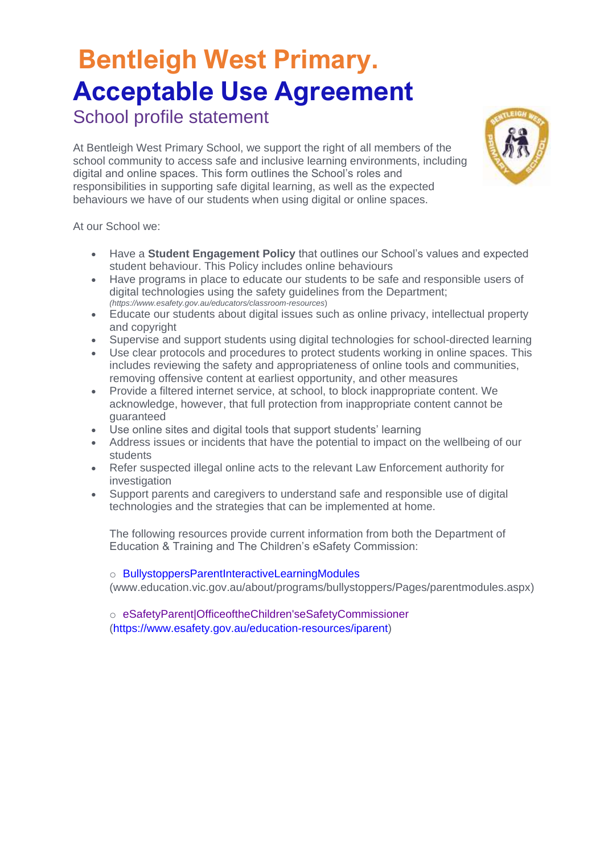# **Bentleigh West Primary. Acceptable Use Agreement**

School profile statement

At Bentleigh West Primary School, we support the right of all members of the school community to access safe and inclusive learning environments, including digital and online spaces. This form outlines the School's roles and responsibilities in supporting safe digital learning, as well as the expected behaviours we have of our students when using digital or online spaces.

At our School we:

- Have a **Student Engagement Policy** that outlines our School's values and expected student behaviour. This Policy includes online behaviours
- Have programs in place to educate our students to be safe and responsible users of digital technologies using the safety guidelines from the Department; *(https://www.esafety.gov.au/educators/classroom-resources*)
- Educate our students about digital issues such as online privacy, intellectual property and copyright
- Supervise and support students using digital technologies for school-directed learning
- Use clear protocols and procedures to protect students working in online spaces. This includes reviewing the safety and appropriateness of online tools and communities, removing offensive content at earliest opportunity, and other measures
- Provide a filtered internet service, at school, to block inappropriate content. We acknowledge, however, that full protection from inappropriate content cannot be guaranteed
- Use online sites and digital tools that support students' learning
- Address issues or incidents that have the potential to impact on the wellbeing of our students
- Refer suspected illegal online acts to the relevant Law Enforcement authority for investigation
- Support parents and caregivers to understand safe and responsible use of digital technologies and the strategies that can be implemented at home.

The following resources provide current information from both the Department of Education & Training and The Children's eSafety Commission:

o BullystoppersParentInteractiveLearningModules

(www.education.vic.gov.au/about/programs/bullystoppers/Pages/parentmodules.aspx)

o eSafetyParent|OfficeoftheChildren'seSafetyCommissioner (https://www.esafety.gov.au/education-resources/iparent)

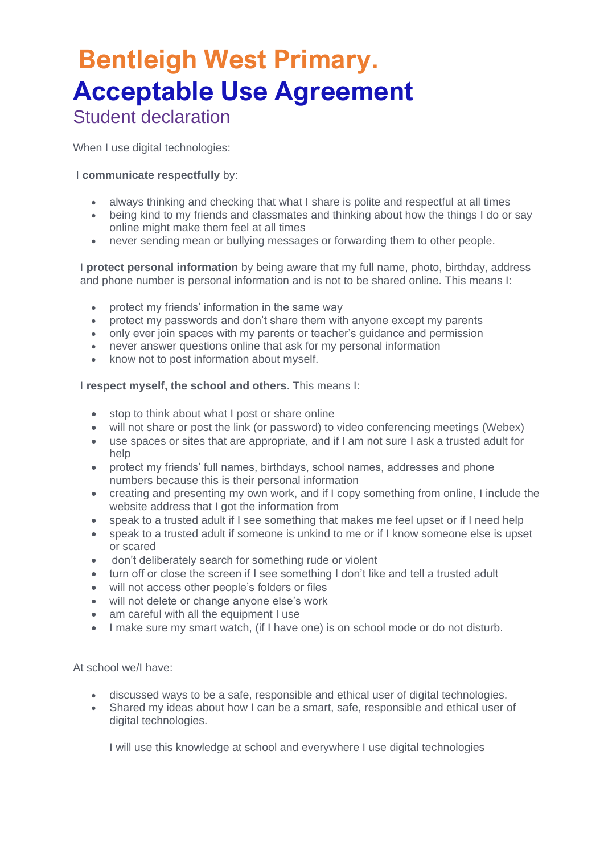### **Bentleigh West Primary. Acceptable Use Agreement**  Student declaration

When I use digital technologies:

#### I **communicate respectfully** by:

- always thinking and checking that what I share is polite and respectful at all times
- being kind to my friends and classmates and thinking about how the things I do or say online might make them feel at all times
- never sending mean or bullying messages or forwarding them to other people.

I **protect personal information** by being aware that my full name, photo, birthday, address and phone number is personal information and is not to be shared online. This means I:

- protect my friends' information in the same way
- protect my passwords and don't share them with anyone except my parents
- only ever join spaces with my parents or teacher's guidance and permission
- never answer questions online that ask for my personal information
- know not to post information about myself.

#### I **respect myself, the school and others**. This means I:

- stop to think about what I post or share online
- will not share or post the link (or password) to video conferencing meetings (Webex)
- use spaces or sites that are appropriate, and if I am not sure I ask a trusted adult for help
- protect my friends' full names, birthdays, school names, addresses and phone numbers because this is their personal information
- creating and presenting my own work, and if I copy something from online, I include the website address that I got the information from
- speak to a trusted adult if I see something that makes me feel upset or if I need help
- speak to a trusted adult if someone is unkind to me or if I know someone else is upset or scared
- don't deliberately search for something rude or violent
- turn off or close the screen if I see something I don't like and tell a trusted adult
- will not access other people's folders or files
- will not delete or change anyone else's work
- am careful with all the equipment I use
- I make sure my smart watch, (if I have one) is on school mode or do not disturb.

At school we/I have:

- discussed ways to be a safe, responsible and ethical user of digital technologies.
- Shared my ideas about how I can be a smart, safe, responsible and ethical user of digital technologies.

I will use this knowledge at school and everywhere I use digital technologies